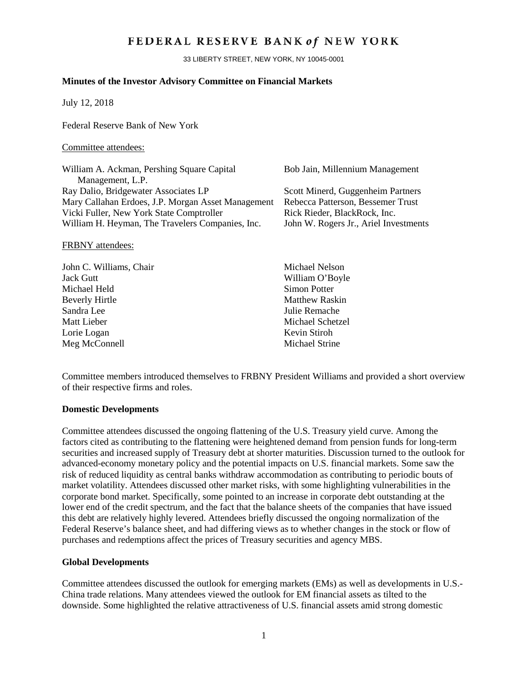## FEDERAL RESERVE BANK of NEW YORK

33 LIBERTY STREET, NEW YORK, NY 10045-0001

## **Minutes of the Investor Advisory Committee on Financial Markets**

July 12, 2018

Federal Reserve Bank of New York

#### Committee attendees:

| William A. Ackman, Pershing Square Capital         | Bob Jain, Millennium Management       |
|----------------------------------------------------|---------------------------------------|
| Management, L.P.                                   |                                       |
| Ray Dalio, Bridgewater Associates LP               | Scott Minerd, Guggenheim Partners     |
| Mary Callahan Erdoes, J.P. Morgan Asset Management | Rebecca Patterson, Bessemer Trust     |
| Vicki Fuller, New York State Comptroller           | Rick Rieder, BlackRock, Inc.          |
| William H. Heyman, The Travelers Companies, Inc.   | John W. Rogers Jr., Ariel Investments |
|                                                    |                                       |

#### FRBNY attendees:

| John C. Williams, Chair | Michael Nelson        |
|-------------------------|-----------------------|
| <b>Jack Gutt</b>        | William O'Boyle       |
| Michael Held            | Simon Potter          |
| <b>Beverly Hirtle</b>   | <b>Matthew Raskin</b> |
| Sandra Lee              | Julie Remache         |
| Matt Lieber             | Michael Schetzel      |
| Lorie Logan             | Kevin Stiroh          |
| Meg McConnell           | Michael Strine        |
|                         |                       |

Committee members introduced themselves to FRBNY President Williams and provided a short overview of their respective firms and roles.

## **Domestic Developments**

Committee attendees discussed the ongoing flattening of the U.S. Treasury yield curve. Among the factors cited as contributing to the flattening were heightened demand from pension funds for long-term securities and increased supply of Treasury debt at shorter maturities. Discussion turned to the outlook for advanced-economy monetary policy and the potential impacts on U.S. financial markets. Some saw the risk of reduced liquidity as central banks withdraw accommodation as contributing to periodic bouts of market volatility. Attendees discussed other market risks, with some highlighting vulnerabilities in the corporate bond market. Specifically, some pointed to an increase in corporate debt outstanding at the lower end of the credit spectrum, and the fact that the balance sheets of the companies that have issued this debt are relatively highly levered. Attendees briefly discussed the ongoing normalization of the Federal Reserve's balance sheet, and had differing views as to whether changes in the stock or flow of purchases and redemptions affect the prices of Treasury securities and agency MBS.

## **Global Developments**

Committee attendees discussed the outlook for emerging markets (EMs) as well as developments in U.S.- China trade relations. Many attendees viewed the outlook for EM financial assets as tilted to the downside. Some highlighted the relative attractiveness of U.S. financial assets amid strong domestic